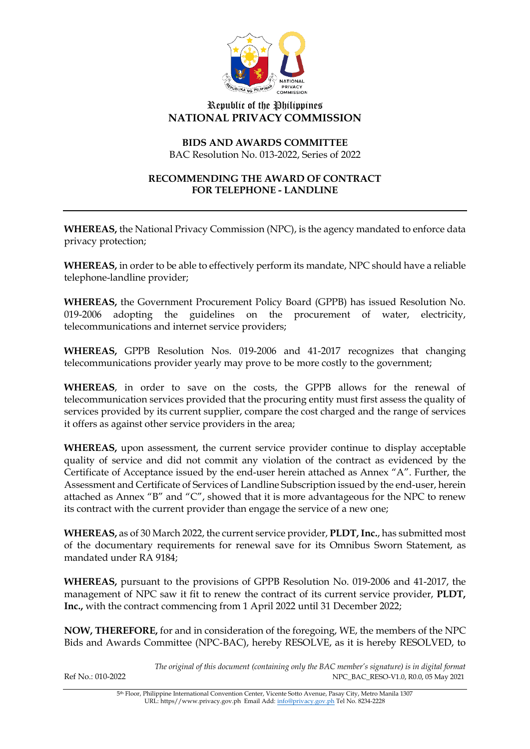

## Republic of the Philippines **NATIONAL PRIVACY COMMISSION**

## **BIDS AND AWARDS COMMITTEE** BAC Resolution No. 013-2022, Series of 2022

#### **RECOMMENDING THE AWARD OF CONTRACT FOR TELEPHONE - LANDLINE**

**WHEREAS,** the National Privacy Commission (NPC), is the agency mandated to enforce data privacy protection;

**WHEREAS,** in order to be able to effectively perform its mandate, NPC should have a reliable telephone-landline provider;

**WHEREAS,** the Government Procurement Policy Board (GPPB) has issued Resolution No. 019-2006 adopting the guidelines on the procurement of water, electricity, telecommunications and internet service providers;

**WHEREAS,** GPPB Resolution Nos. 019-2006 and 41-2017 recognizes that changing telecommunications provider yearly may prove to be more costly to the government;

**WHEREAS**, in order to save on the costs, the GPPB allows for the renewal of telecommunication services provided that the procuring entity must first assess the quality of services provided by its current supplier, compare the cost charged and the range of services it offers as against other service providers in the area;

**WHEREAS,** upon assessment, the current service provider continue to display acceptable quality of service and did not commit any violation of the contract as evidenced by the Certificate of Acceptance issued by the end-user herein attached as Annex "A". Further, the Assessment and Certificate of Services of Landline Subscription issued by the end-user, herein attached as Annex "B" and "C", showed that it is more advantageous for the NPC to renew its contract with the current provider than engage the service of a new one;

**WHEREAS,** as of 30 March 2022, the current service provider, **PLDT, Inc.**, has submitted most of the documentary requirements for renewal save for its Omnibus Sworn Statement, as mandated under RA 9184;

**WHEREAS,** pursuant to the provisions of GPPB Resolution No. 019-2006 and 41-2017, the management of NPC saw it fit to renew the contract of its current service provider, **PLDT, Inc.,** with the contract commencing from 1 April 2022 until 31 December 2022;

**NOW, THEREFORE,** for and in consideration of the foregoing, WE, the members of the NPC Bids and Awards Committee (NPC-BAC), hereby RESOLVE, as it is hereby RESOLVED, to

*The original of this document (containing only the BAC member's signature) is in digital format* Ref No.: 010-2022 NPC\_BAC\_RESO-V1.0, R0.0, 05 May 2021

> 5th Floor, Philippine International Convention Center, Vicente Sotto Avenue, Pasay City, Metro Manila 1307 URL: https//www.privacy.gov.ph Email Add[: info@privacy.gov.ph](mailto:info@privacy.gov.ph) Tel No. 8234-2228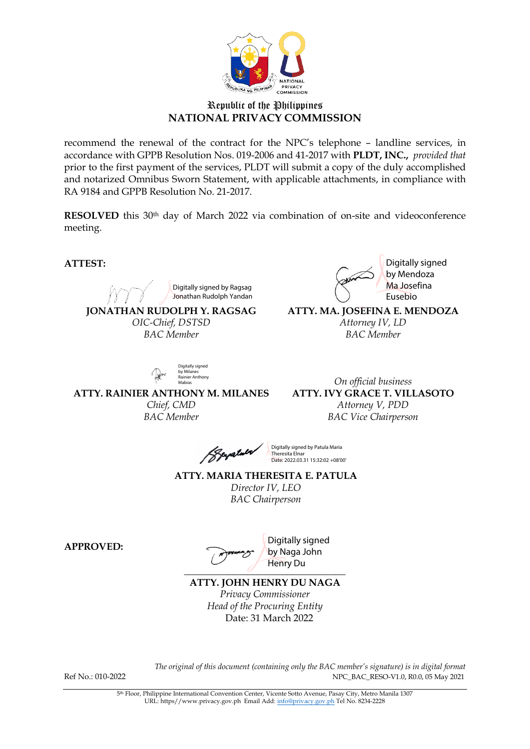

## Republic of the Philippines **NATIONAL PRIVACY COMMISSION**

recommend the renewal of the contract for the NPC's telephone – landline services, in accordance with GPPB Resolution Nos. 019-2006 and 41-2017 with **PLDT, INC.,** *provided that* prior to the first payment of the services, PLDT will submit a copy of the duly accomplished and notarized Omnibus Sworn Statement, with applicable attachments, in compliance with RA 9184 and GPPB Resolution No. 21-2017.

**RESOLVED** this 30<sup>th</sup> day of March 2022 via combination of on-site and videoconference meeting.

**ATTEST:**

Digitally signed by Ragsag

Jonathan Rudolph Yandan

**JONATHAN RUDOLPH Y. RAGSAG** *OIC-Chief, DSTSD BAC Member*

Digitally signed by Mendoza Ma Josefina Eusebio

**ATTY. MA. JOSEFINA E. MENDOZA** *Attorney IV, LD BAC Member*

Digitally signed by Milanes<br>Rainier Anthony Mabias

**ATTY. RAINIER ANTHONY M. MILANES** *Chief, CMD BAC Member*

*On official business* **ATTY. IVY GRACE T. VILLASOTO** *Attorney V, PDD BAC Vice Chairperson*

palula

Digitally signed by Patula Maria Theresita Elnar Date: 2022.03.31 15:32:02 +08'00'

**ATTY. MARIA THERESITA E. PATULA** *Director IV, LEO BAC Chairperson*

**APPROVED:**

*\_\_\_\_\_\_\_\_\_\_\_\_\_\_\_\_\_\_\_\_\_\_\_\_\_\_\_\_\_\_\_\_\_*

Digitally signed by Naga John Henry Du

**ATTY. JOHN HENRY DU NAGA**

*Privacy Commissioner Head of the Procuring Entity* Date: 31 March 2022

*The original of this document (containing only the BAC member's signature) is in digital format* Ref No.: 010-2022 NPC\_BAC\_RESO-V1.0, R0.0, 05 May 2021

5th Floor, Philippine International Convention Center, Vicente Sotto Avenue, Pasay City, Metro Manila 1307 URL: https//www.privacy.gov.ph Email Add[: info@privacy.gov.ph](mailto:info@privacy.gov.ph) Tel No. 8234-2228